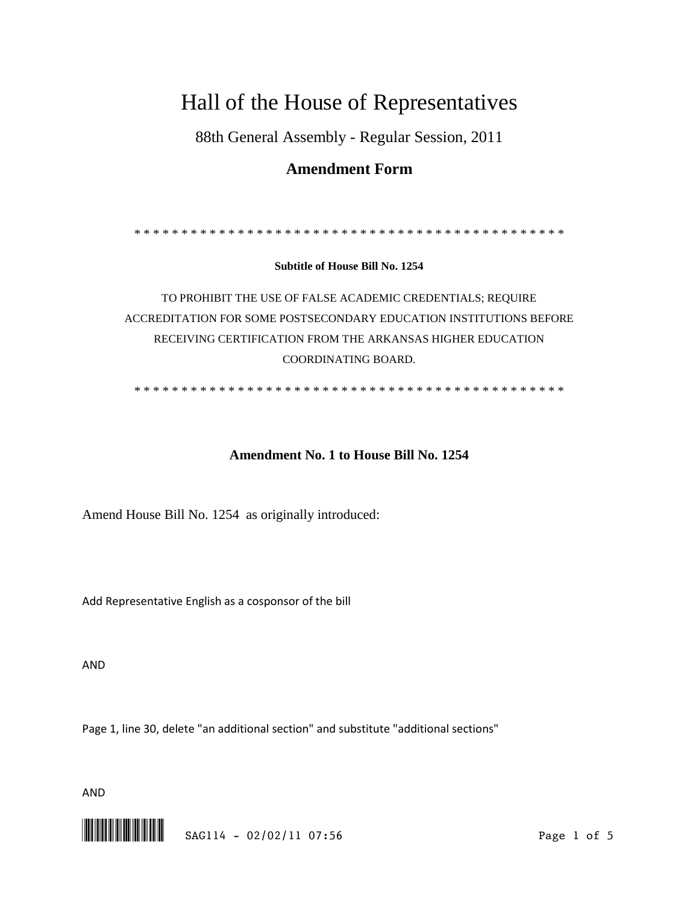# Hall of the House of Representatives

88th General Assembly - Regular Session, 2011

## **Amendment Form**

\* \* \* \* \* \* \* \* \* \* \* \* \* \* \* \* \* \* \* \* \* \* \* \* \* \* \* \* \* \* \* \* \* \* \* \* \* \* \* \* \* \* \* \* \* \*

**Subtitle of House Bill No. 1254**

TO PROHIBIT THE USE OF FALSE ACADEMIC CREDENTIALS; REQUIRE ACCREDITATION FOR SOME POSTSECONDARY EDUCATION INSTITUTIONS BEFORE RECEIVING CERTIFICATION FROM THE ARKANSAS HIGHER EDUCATION COORDINATING BOARD.

\* \* \* \* \* \* \* \* \* \* \* \* \* \* \* \* \* \* \* \* \* \* \* \* \* \* \* \* \* \* \* \* \* \* \* \* \* \* \* \* \* \* \* \* \* \*

## **Amendment No. 1 to House Bill No. 1254**

Amend House Bill No. 1254 as originally introduced:

Add Representative English as a cosponsor of the bill

AND

Page 1, line 30, delete "an additional section" and substitute "additional sections"

AND

\*.SAG114\* SAG114 - 02/02/11 07:56 Page 1 of 5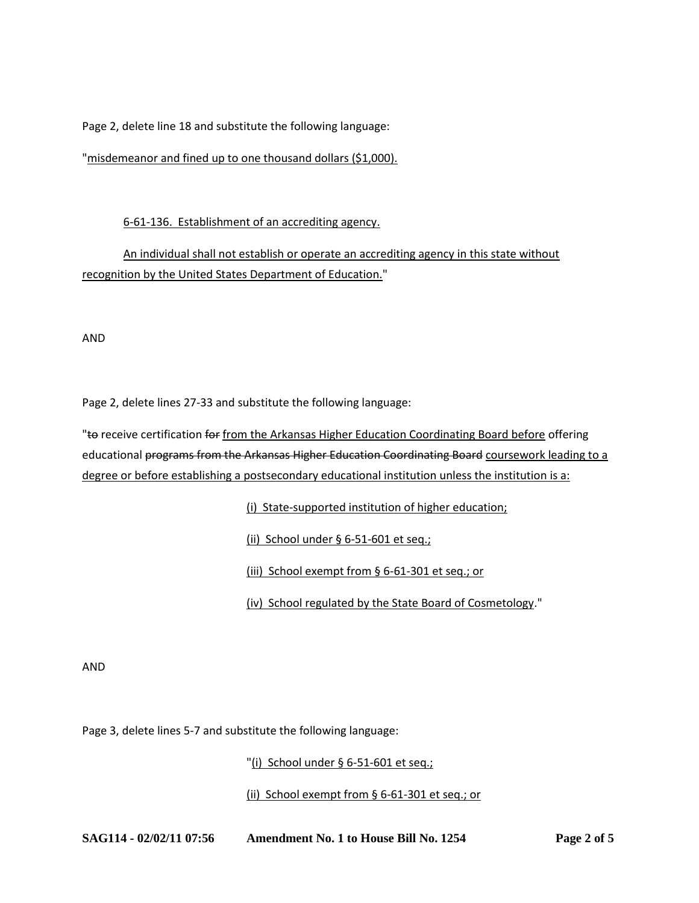Page 2, delete line 18 and substitute the following language:

"misdemeanor and fined up to one thousand dollars (\$1,000).

6-61-136. Establishment of an accrediting agency.

An individual shall not establish or operate an accrediting agency in this state without recognition by the United States Department of Education."

AND

Page 2, delete lines 27-33 and substitute the following language:

"to receive certification for from the Arkansas Higher Education Coordinating Board before offering educational programs from the Arkansas Higher Education Coordinating Board coursework leading to a degree or before establishing a postsecondary educational institution unless the institution is a:

(i) State-supported institution of higher education;

(ii) School under § 6-51-601 et seq.;

(iii) School exempt from § 6-61-301 et seq.; or

(iv) School regulated by the State Board of Cosmetology."

AND

Page 3, delete lines 5-7 and substitute the following language:

"(i) School under § 6-51-601 et seq.;

(ii) School exempt from § 6-61-301 et seq.; or

**SAG114 - 02/02/11 07:56 Amendment No. 1 to House Bill No. 1254 Page 2 of 5**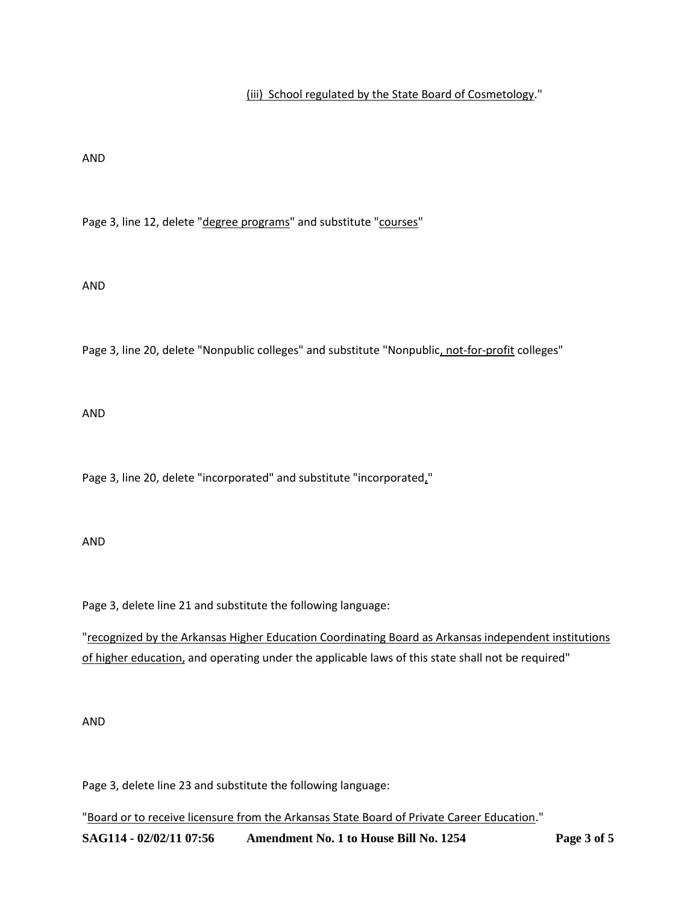### (iii) School regulated by the State Board of Cosmetology."

#### AND

Page 3, line 12, delete "degree programs" and substitute "courses"

#### AND

Page 3, line 20, delete "Nonpublic colleges" and substitute "Nonpublic, not-for-profit colleges"

AND

Page 3, line 20, delete "incorporated" and substitute "incorporated,"

#### AND

Page 3, delete line 21 and substitute the following language:

"recognized by the Arkansas Higher Education Coordinating Board as Arkansas independent institutions of higher education, and operating under the applicable laws of this state shall not be required"

#### AND

Page 3, delete line 23 and substitute the following language:

"Board or to receive licensure from the Arkansas State Board of Private Career Education."

**SAG114 - 02/02/11 07:56 Amendment No. 1 to House Bill No. 1254 Page 3 of 5**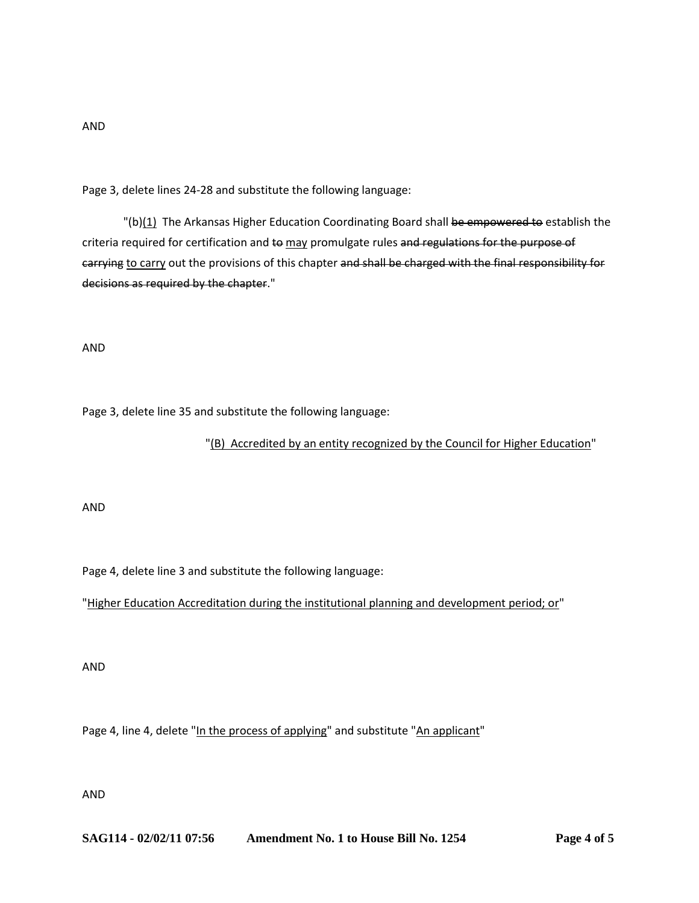## AND

Page 3, delete lines 24-28 and substitute the following language:

"(b) $(1)$  The Arkansas Higher Education Coordinating Board shall be empowered to establish the criteria required for certification and to may promulgate rules and regulations for the purpose of carrying to carry out the provisions of this chapter and shall be charged with the final responsibility for decisions as required by the chapter."

AND

Page 3, delete line 35 and substitute the following language:

#### "(B) Accredited by an entity recognized by the Council for Higher Education"

AND

Page 4, delete line 3 and substitute the following language:

"Higher Education Accreditation during the institutional planning and development period; or"

AND

Page 4, line 4, delete "In the process of applying" and substitute "An applicant"

AND

**SAG114 - 02/02/11 07:56 Amendment No. 1 to House Bill No. 1254 Page 4 of 5**